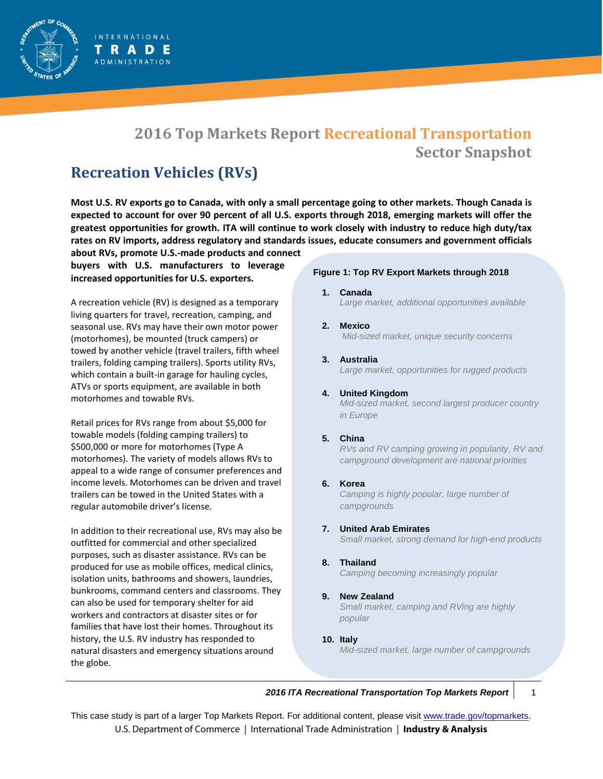# **2016 Top Markets Report Recreational Transportation Sector Snapshot**

# **Recreation Vehicles (RVs)**

**INTERNATIONAL** TRADE **ADMINISTRATION** 

**Most U.S. RV exports go to Canada, with only a small percentage going to other markets. Though Canada is expected to account for over 90 percent of all U.S. exports through 2018, emerging markets will offer the greatest opportunities for growth. ITA will continue to work closely with industry to reduce high duty/tax rates on RV imports, address regulatory and standards issues, educate consumers and government officials** 

**about RVs, promote U.S.-made products and connect buyers with U.S. manufacturers to leverage increased opportunities for U.S. exporters.** 

A recreation vehicle (RV) is designed as a temporary living quarters for travel, recreation, camping, and seasonal use. RVs may have their own motor power (motorhomes), be mounted (truck campers) or towed by another vehicle (travel trailers, fifth wheel trailers, folding camping trailers). Sports utility RVs, which contain a built-in garage for hauling cycles, ATVs or sports equipment, are available in both motorhomes and towable RVs.

Retail prices for RVs range from about \$5,000 for towable models (folding camping trailers) to \$500,000 or more for motorhomes (Type A motorhomes). The variety of models allows RVs to appeal to a wide range of consumer preferences and income levels. Motorhomes can be driven and travel trailers can be towed in the United States with a regular automobile driver's license.

In addition to their recreational use, RVs may also be outfitted for commercial and other specialized purposes, such as disaster assistance. RVs can be produced for use as mobile offices, medical clinics, isolation units, bathrooms and showers, laundries, bunkrooms, command centers and classrooms. They can also be used for temporary shelter for aid workers and contractors at disaster sites or for families that have lost their homes. Throughout its history, the U.S. RV industry has responded to natural disasters and emergency situations around the globe.

## **Figure 1: Top RV Export Markets through 2018**

- **1. Canada** *Large market, additional opportunities available*
- **2. Mexico** *Mid-sized market, unique security concerns*
- **3. Australia** *Large market, opportunities for rugged products*
- **4. United Kingdom**

*Mid-sized market, second largest producer country in Europe* 

## **5. China**

*RVs and RV camping growing in popularity, RV and campground development are national priorities*

**6. Korea**

*Camping is highly popular, large number of campgrounds*

**7. United Arab Emirates** 

*Small market, strong demand for high-end products*

- **8. Thailand** *Camping becoming increasingly popular*
- **9. New Zealand**

*Small market, camping and RVing are highly popular*

**10. Italy**

*Mid-sized market, large number of campgrounds*

## *2016 ITA Recreational Transportation Top Markets Report* 1

This case study is part of a larger Top Markets Report. For additional content, please visit [www.trade.gov/topmarkets.](http://www.trade.gov/topmarkets) U.S. Department of Commerce | International Trade Administration | **Industry & Analysis**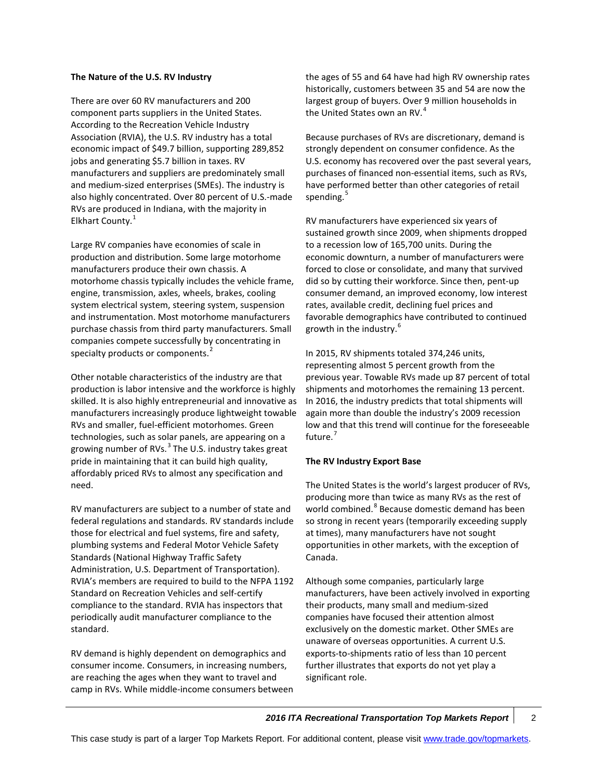#### **The Nature of the U.S. RV Industry**

There are over 60 RV manufacturers and 200 component parts suppliers in the United States. According to the Recreation Vehicle Industry Association (RVIA), the U.S. RV industry has a total economic impact of \$49.7 billion, supporting 289,852 jobs and generating \$5.7 billion in taxes. RV manufacturers and suppliers are predominately small and medium-sized enterprises (SMEs). The industry is also highly concentrated. Over 80 percent of U.S.-made RVs are produced in Indiana, with the majority in Elkhart County.<sup>[1](#page-5-0)</sup>

Large RV companies have economies of scale in production and distribution. Some large motorhome manufacturers produce their own chassis. A motorhome chassis typically includes the vehicle frame, engine, transmission, axles, wheels, brakes, cooling system electrical system, steering system, suspension and instrumentation. Most motorhome manufacturers purchase chassis from third party manufacturers. Small companies compete successfully by concentrating in specialty products or components.<sup>[2](#page-5-1)</sup>

Other notable characteristics of the industry are that production is labor intensive and the workforce is highly skilled. It is also highly entrepreneurial and innovative as manufacturers increasingly produce lightweight towable RVs and smaller, fuel-efficient motorhomes. Green technologies, such as solar panels, are appearing on a growing number of RVs. $<sup>3</sup>$  $<sup>3</sup>$  $<sup>3</sup>$  The U.S. industry takes great</sup> pride in maintaining that it can build high quality, affordably priced RVs to almost any specification and need.

RV manufacturers are subject to a number of state and federal regulations and standards. RV standards include those for electrical and fuel systems, fire and safety, plumbing systems and Federal Motor Vehicle Safety Standards (National Highway Traffic Safety Administration, U.S. Department of Transportation). RVIA's members are required to build to the NFPA 1192 Standard on Recreation Vehicles and self-certify compliance to the standard. RVIA has inspectors that periodically audit manufacturer compliance to the standard.

RV demand is highly dependent on demographics and consumer income. Consumers, in increasing numbers, are reaching the ages when they want to travel and camp in RVs. While middle-income consumers between the ages of 55 and 64 have had high RV ownership rates historically, customers between 35 and 54 are now the largest group of buyers. Over 9 million households in the United States own an RV. $4$ 

Because purchases of RVs are discretionary, demand is strongly dependent on consumer confidence. As the U.S. economy has recovered over the past several years, purchases of financed non-essential items, such as RVs, have performed better than other categories of retail spending.<sup>[5](#page-5-4)</sup>

RV manufacturers have experienced six years of sustained growth since 2009, when shipments dropped to a recession low of 165,700 units. During the economic downturn, a number of manufacturers were forced to close or consolidate, and many that survived did so by cutting their workforce. Since then, pent-up consumer demand, an improved economy, low interest rates, available credit, declining fuel prices and favorable demographics have contributed to continued growth in the industry.<sup>[6](#page-5-5)</sup>

In 2015, RV shipments totaled 374,246 units, representing almost 5 percent growth from the previous year. Towable RVs made up 87 percent of total shipments and motorhomes the remaining 13 percent. In 2016, the industry predicts that total shipments will again more than double the industry's 2009 recession low and that this trend will continue for the foreseeable future.<sup>[7](#page-5-6)</sup>

## **The RV Industry Export Base**

The United States is the world's largest producer of RVs, producing more than twice as many RVs as the rest of world combined.<sup>[8](#page-5-7)</sup> Because domestic demand has been so strong in recent years (temporarily exceeding supply at times), many manufacturers have not sought opportunities in other markets, with the exception of Canada.

Although some companies, particularly large manufacturers, have been actively involved in exporting their products, many small and medium-sized companies have focused their attention almost exclusively on the domestic market. Other SMEs are unaware of overseas opportunities. A current U.S. exports-to-shipments ratio of less than 10 percent further illustrates that exports do not yet play a significant role.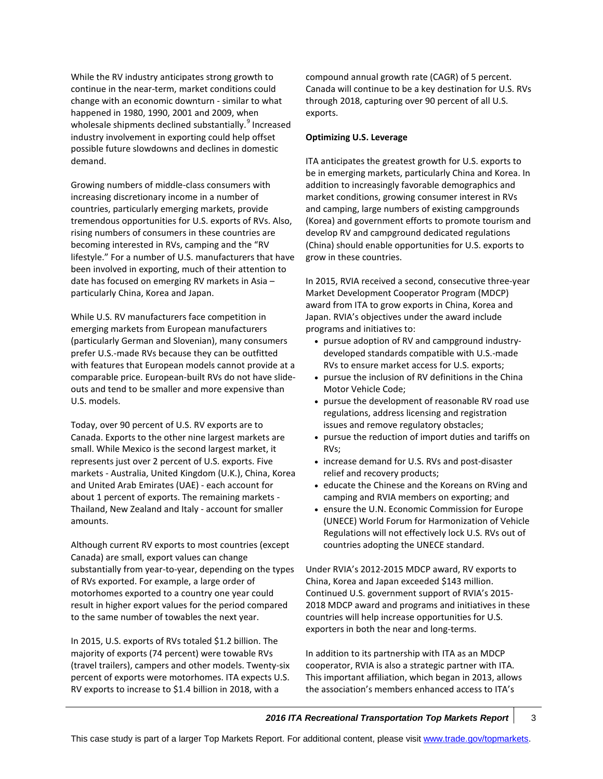While the RV industry anticipates strong growth to continue in the near-term, market conditions could change with an economic downturn - similar to what happened in 1980, 1990, 2001 and 2009, when wholesale shipments declined substantially.<sup>[9](#page-5-8)</sup> Increased industry involvement in exporting could help offset possible future slowdowns and declines in domestic demand.

Growing numbers of middle-class consumers with increasing discretionary income in a number of countries, particularly emerging markets, provide tremendous opportunities for U.S. exports of RVs. Also, rising numbers of consumers in these countries are becoming interested in RVs, camping and the "RV lifestyle." For a number of U.S. manufacturers that have been involved in exporting, much of their attention to date has focused on emerging RV markets in Asia – particularly China, Korea and Japan.

While U.S. RV manufacturers face competition in emerging markets from European manufacturers (particularly German and Slovenian), many consumers prefer U.S.-made RVs because they can be outfitted with features that European models cannot provide at a comparable price. European-built RVs do not have slideouts and tend to be smaller and more expensive than U.S. models.

Today, over 90 percent of U.S. RV exports are to Canada. Exports to the other nine largest markets are small. While Mexico is the second largest market, it represents just over 2 percent of U.S. exports. Five markets - Australia, United Kingdom (U.K.), China, Korea and United Arab Emirates (UAE) - each account for about 1 percent of exports. The remaining markets - Thailand, New Zealand and Italy - account for smaller amounts.

Although current RV exports to most countries (except Canada) are small, export values can change substantially from year-to-year, depending on the types of RVs exported. For example, a large order of motorhomes exported to a country one year could result in higher export values for the period compared to the same number of towables the next year.

In 2015, U.S. exports of RVs totaled \$1.2 billion. The majority of exports (74 percent) were towable RVs (travel trailers), campers and other models. Twenty-six percent of exports were motorhomes. ITA expects U.S. RV exports to increase to \$1.4 billion in 2018, with a

compound annual growth rate (CAGR) of 5 percent. Canada will continue to be a key destination for U.S. RVs through 2018, capturing over 90 percent of all U.S. exports.

#### **Optimizing U.S. Leverage**

ITA anticipates the greatest growth for U.S. exports to be in emerging markets, particularly China and Korea. In addition to increasingly favorable demographics and market conditions, growing consumer interest in RVs and camping, large numbers of existing campgrounds (Korea) and government efforts to promote tourism and develop RV and campground dedicated regulations (China) should enable opportunities for U.S. exports to grow in these countries.

In 2015, RVIA received a second, consecutive three-year Market Development Cooperator Program (MDCP) award from ITA to grow exports in China, Korea and Japan. RVIA's objectives under the award include programs and initiatives to:

- pursue adoption of RV and campground industrydeveloped standards compatible with U.S.-made RVs to ensure market access for U.S. exports;
- pursue the inclusion of RV definitions in the China Motor Vehicle Code;
- pursue the development of reasonable RV road use regulations, address licensing and registration issues and remove regulatory obstacles;
- pursue the reduction of import duties and tariffs on RVs;
- increase demand for U.S. RVs and post-disaster relief and recovery products;
- educate the Chinese and the Koreans on RVing and camping and RVIA members on exporting; and
- ensure the U.N. Economic Commission for Europe (UNECE) World Forum for Harmonization of Vehicle Regulations will not effectively lock U.S. RVs out of countries adopting the UNECE standard.

Under RVIA's 2012-2015 MDCP award, RV exports to China, Korea and Japan exceeded \$143 million. Continued U.S. government support of RVIA's 2015- 2018 MDCP award and programs and initiatives in these countries will help increase opportunities for U.S. exporters in both the near and long-terms.

In addition to its partnership with ITA as an MDCP cooperator, RVIA is also a strategic partner with ITA. This important affiliation, which began in 2013, allows the association's members enhanced access to ITA's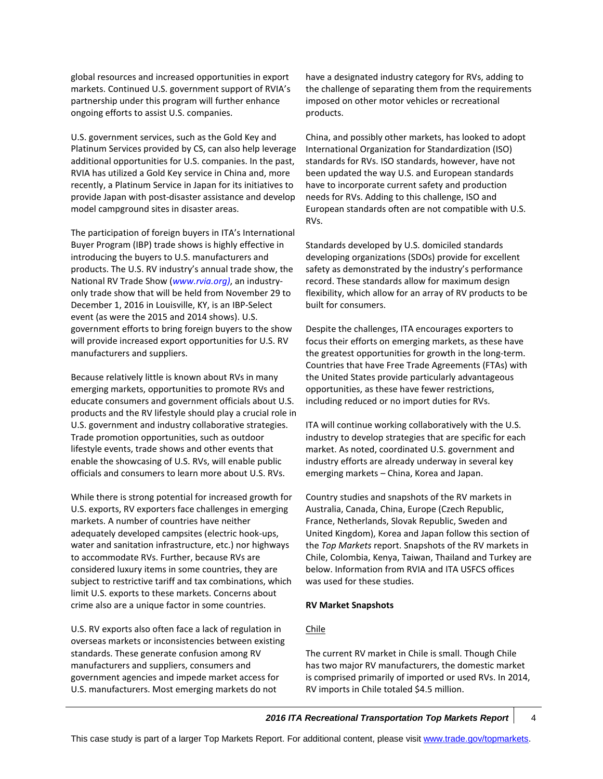global resources and increased opportunities in export markets. Continued U.S. government support of RVIA's partnership under this program will further enhance ongoing efforts to assist U.S. companies.

U.S. government services, such as the Gold Key and Platinum Services provided by CS, can also help leverage additional opportunities for U.S. companies. In the past, RVIA has utilized a Gold Key service in China and, more recently, a Platinum Service in Japan for its initiatives to provide Japan with post-disaster assistance and develop model campground sites in disaster areas.

The participation of foreign buyers in ITA's International Buyer Program (IBP) trade shows is highly effective in introducing the buyers to U.S. manufacturers and products. The U.S. RV industry's annual trade show, the National RV Trade Show (*[www.rvia.org\)](http://www.rvia.org/)*, an industryonly trade show that will be held from November 29 to December 1, 2016 in Louisville, KY, is an IBP-Select event (as were the 2015 and 2014 shows). U.S. government efforts to bring foreign buyers to the show will provide increased export opportunities for U.S. RV manufacturers and suppliers.

Because relatively little is known about RVs in many emerging markets, opportunities to promote RVs and educate consumers and government officials about U.S. products and the RV lifestyle should play a crucial role in U.S. government and industry collaborative strategies. Trade promotion opportunities, such as outdoor lifestyle events, trade shows and other events that enable the showcasing of U.S. RVs, will enable public officials and consumers to learn more about U.S. RVs.

While there is strong potential for increased growth for U.S. exports, RV exporters face challenges in emerging markets. A number of countries have neither adequately developed campsites (electric hook-ups, water and sanitation infrastructure, etc.) nor highways to accommodate RVs. Further, because RVs are considered luxury items in some countries, they are subject to restrictive tariff and tax combinations, which limit U.S. exports to these markets. Concerns about crime also are a unique factor in some countries.

U.S. RV exports also often face a lack of regulation in overseas markets or inconsistencies between existing standards. These generate confusion among RV manufacturers and suppliers, consumers and government agencies and impede market access for U.S. manufacturers. Most emerging markets do not

have a designated industry category for RVs, adding to the challenge of separating them from the requirements imposed on other motor vehicles or recreational products.

China, and possibly other markets, has looked to adopt International Organization for Standardization (ISO) standards for RVs. ISO standards, however, have not been updated the way U.S. and European standards have to incorporate current safety and production needs for RVs. Adding to this challenge, ISO and European standards often are not compatible with U.S. RVs.

Standards developed by U.S. domiciled standards developing organizations (SDOs) provide for excellent safety as demonstrated by the industry's performance record. These standards allow for maximum design flexibility, which allow for an array of RV products to be built for consumers.

Despite the challenges, ITA encourages exporters to focus their efforts on emerging markets, as these have the greatest opportunities for growth in the long-term. Countries that have Free Trade Agreements (FTAs) with the United States provide particularly advantageous opportunities, as these have fewer restrictions, including reduced or no import duties for RVs.

ITA will continue working collaboratively with the U.S. industry to develop strategies that are specific for each market. As noted, coordinated U.S. government and industry efforts are already underway in several key emerging markets – China, Korea and Japan.

Country studies and snapshots of the RV markets in Australia, Canada, China, Europe (Czech Republic, France, Netherlands, Slovak Republic, Sweden and United Kingdom), Korea and Japan follow this section of the *Top Markets* report. Snapshots of the RV markets in Chile, Colombia, Kenya, Taiwan, Thailand and Turkey are below. Information from RVIA and ITA USFCS offices was used for these studies.

## **RV Market Snapshots**

#### Chile

The current RV market in Chile is small. Though Chile has two major RV manufacturers, the domestic market is comprised primarily of imported or used RVs. In 2014, RV imports in Chile totaled \$4.5 million.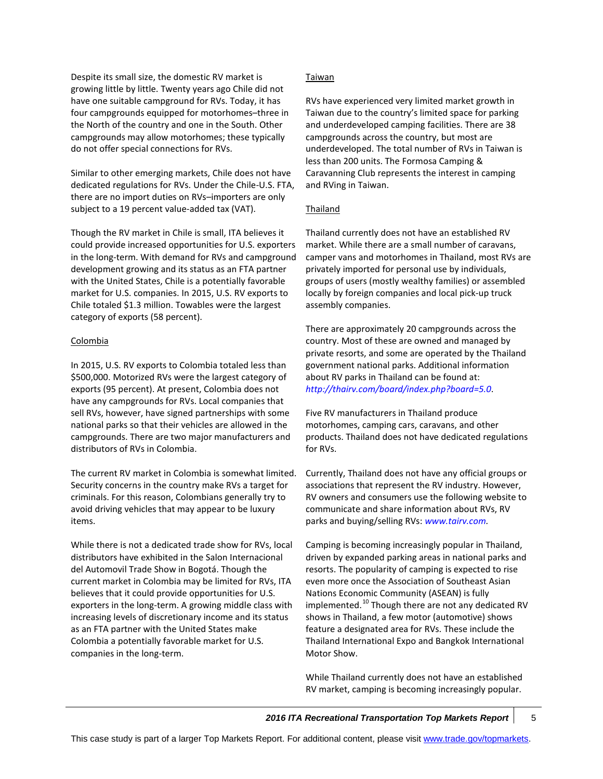Despite its small size, the domestic RV market is growing little by little. Twenty years ago Chile did not have one suitable campground for RVs. Today, it has four campgrounds equipped for motorhomes–three in the North of the country and one in the South. Other campgrounds may allow motorhomes; these typically do not offer special connections for RVs.

Similar to other emerging markets, Chile does not have dedicated regulations for RVs. Under the Chile-U.S. FTA, there are no import duties on RVs–importers are only subject to a 19 percent value-added tax (VAT).

Though the RV market in Chile is small, ITA believes it could provide increased opportunities for U.S. exporters in the long-term. With demand for RVs and campground development growing and its status as an FTA partner with the United States, Chile is a potentially favorable market for U.S. companies. In 2015, U.S. RV exports to Chile totaled \$1.3 million. Towables were the largest category of exports (58 percent).

## Colombia

In 2015, U.S. RV exports to Colombia totaled less than \$500,000. Motorized RVs were the largest category of exports (95 percent). At present, Colombia does not have any campgrounds for RVs. Local companies that sell RVs, however, have signed partnerships with some national parks so that their vehicles are allowed in the campgrounds. There are two major manufacturers and distributors of RVs in Colombia.

The current RV market in Colombia is somewhat limited. Security concerns in the country make RVs a target for criminals. For this reason, Colombians generally try to avoid driving vehicles that may appear to be luxury items.

While there is not a dedicated trade show for RVs, local distributors have exhibited in the Salon Internacional del Automovil Trade Show in Bogotá. Though the current market in Colombia may be limited for RVs, ITA believes that it could provide opportunities for U.S. exporters in the long-term. A growing middle class with increasing levels of discretionary income and its status as an FTA partner with the United States make Colombia a potentially favorable market for U.S. companies in the long-term.

## Taiwan

RVs have experienced very limited market growth in Taiwan due to the country's limited space for parking and underdeveloped camping facilities. There are 38 campgrounds across the country, but most are underdeveloped. The total number of RVs in Taiwan is less than 200 units. The Formosa Camping & Caravanning Club represents the interest in camping and RVing in Taiwan.

## Thailand

Thailand currently does not have an established RV market. While there are a small number of caravans, camper vans and motorhomes in Thailand, most RVs are privately imported for personal use by individuals, groups of users (mostly wealthy families) or assembled locally by foreign companies and local pick-up truck assembly companies.

There are approximately 20 campgrounds across the country. Most of these are owned and managed by private resorts, and some are operated by the Thailand government national parks. Additional information about RV parks in Thailand can be found at: *<http://thairv.com/board/index.php?board=5.0>*.

Five RV manufacturers in Thailand produce motorhomes, camping cars, caravans, and other products. Thailand does not have dedicated regulations for RVs.

Currently, Thailand does not have any official groups or associations that represent the RV industry. However, RV owners and consumers use the following website to communicate and share information about RVs, RV parks and buying/selling RVs: *[www.tairv.com.](http://www.tairv.com/)*

Camping is becoming increasingly popular in Thailand, driven by expanded parking areas in national parks and resorts. The popularity of camping is expected to rise even more once the Association of Southeast Asian Nations Economic Community (ASEAN) is fully implemented.<sup>[10](#page-5-9)</sup> Though there are not any dedicated RV shows in Thailand, a few motor (automotive) shows feature a designated area for RVs. These include the Thailand International Expo and Bangkok International Motor Show.

While Thailand currently does not have an established RV market, camping is becoming increasingly popular.